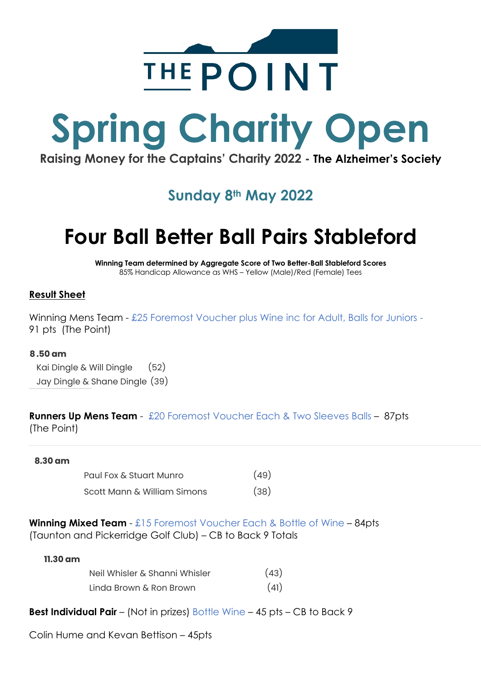

# **Spring Charity Open**

**Raising Money for the Captains' Charity 2022 - The Alzheimer's Society**

### **Sunday 8th May 2022**

## **Four Ball Better Ball Pairs Stableford**

**Winning Team determined by Aggregate Score of Two Better-Ball Stableford Scores** 85% Handicap Allowance as WHS – Yellow (Male)/Red (Female) Tees

#### **Result Sheet**

Winning Mens Team - £25 Foremost Voucher plus Wine inc for Adult, Balls for Juniors -91 pts (The Point)

#### **8.50 am**

Kai Dingle & Will Dingle (52) Jay Dingle & Shane Dingle (39)

#### **Runners Up Mens Team** - £20 Foremost Voucher Each & Two Sleeves Balls – 87pts (The Point)

#### **8.30 am**

| Paul Fox & Stuart Munro     | (49) |
|-----------------------------|------|
| Scott Mann & William Simons | (38) |

**Winning Mixed Team** - £15 Foremost Voucher Each & Bottle of Wine – 84pts (Taunton and Pickerridge Golf Club) – CB to Back 9 Totals

#### **11.30 am**

| Neil Whisler & Shanni Whisler | (43) |
|-------------------------------|------|
| Linda Brown & Ron Brown       | (41) |

**Best Individual Pair** – (Not in prizes) Bottle Wine – 45 pts – CB to Back 9

Colin Hume and Kevan Bettison – 45pts